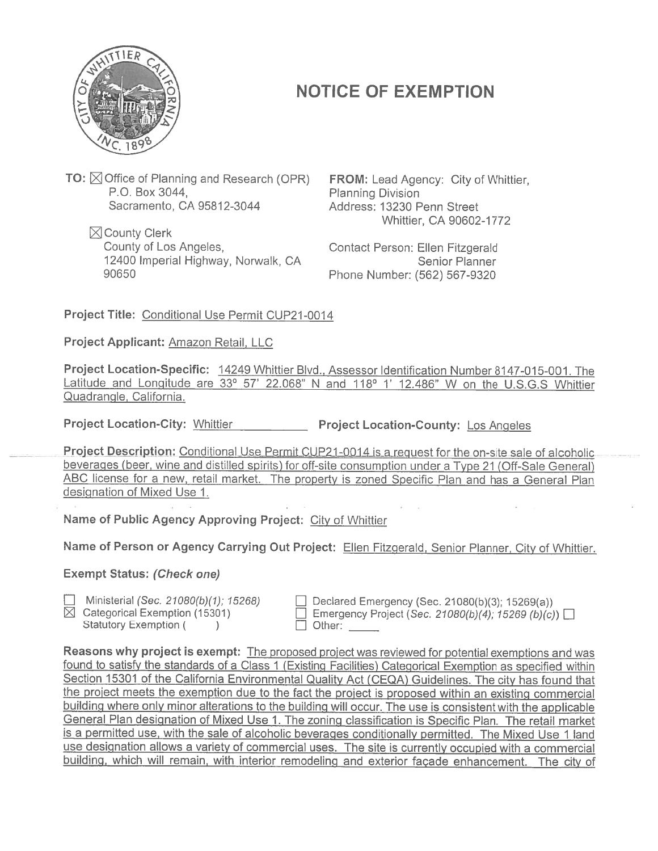

## NOTICE OF EXEMPTION

**TO:**  $\boxtimes$  Office of Planning and Research (OPR) P.O. Box 3044, Sacramento, CA 95812-3044

 $\boxtimes$  County Clerk County of Los Angeles, 12400 Imperial Highway, Norwalk, CA 90650

FROM: Lead Agency: City of Whittier, Planning Division Address: 13230 Penn Street Whittier, CA 90602-1772

Contact Person: Ellen Fitzgerald Senior Planner Phone Number: (562) 567-9320

Project Title: Conditional Use Permit CUP21-0014

Project Applicant: Amazon Retail, LLC

Project Location-Specific: 14249 Whittier Blvd., Assessor Identification Number 8147-015-001. The Latitude and Longitude are  $33^{\circ}$  57' 22.068" N and  $118^{\circ}$  1' 12.486" W on the U.S.G.S Whittier Quadrangle, California.

Project Location-City: Whittier Project Location-County: Los Angeles

Project Description: Conditional Use Permit CUP21-0014 is a request for the on-site sale of alcoholic beverages (beer, wine and distilled spirits) for off-site consumption under <sup>a</sup> Type <sup>21</sup> (Off-Sale General) ABC license for <sup>a</sup> new, retail market. The property is zoned Specific Plan and has <sup>a</sup> General Plan designation of Mixed Use 1. MOTICE ON:<br>
Planning I<br>
Address:<br>
Contact P<br>
Phone Nu<br>
<u>1-0014</u><br>
<u>Blvd., Assessor</u><br>
<u>8" N and 118"</u><br>
— Project Loc<br>
<u>LCUP21-0014 is</u><br>
roff-site consum<br>
property is zone<br>
t: City of Whittie<br>
Project: Ellen F<br>
Project: Ellen

Name of Public Agency Approving Project: City of Whittier

Name of Person or Agency Carrying Out Project: Ellen Fitzgerald, Senior Planner, City of Whittier.

Exempt Status: (Check one)

□ Ministerial (Sec. 21080(b)(1): 15268)

 $\boxtimes$  Categorical Exemption (15301)

Statutory Exemption (  $\mathcal{L}$ 

Declared Emergency (Sec. 21080(b)(3); 15269(a)) Emergency Project (Sec. 21080(b)(4); 15269 (b)(c))  $\Box$  Other:

Reasons why project is exempt: The propose<sup>d</sup> project was reviewed for potential exemptions and was found to satisfy the standards of <sup>a</sup> Class <sup>1</sup> (Existing Facilities) Categorical Exemption as specified within Section <sup>15301</sup> of the California Environmental Quality Act (CEQA) Guidelines. The city has found that the project meets the exemption due to the fact the project is propose<sup>d</sup> within an existing commercial building where only minor alterations to the building will occur. The use is consistent with the applicable General Plan designation of Mixed Use 1. The zoning classification is Specific Plan. The retail market is <sup>a</sup> permitted use, with the sale of alcoholic beverages conditionally permitted. The Mixed Use <sup>1</sup> land use designation allows <sup>a</sup> variety of commercial uses. The site is currently occupied with <sup>a</sup> commercial building, which will remain, with interior remodeling and exterior façade enhancement. The city of